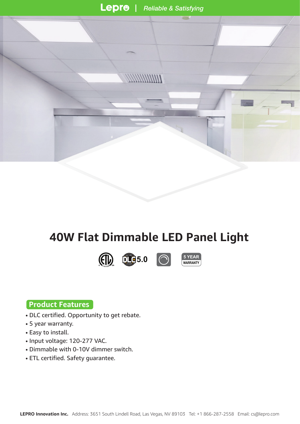**COLOR** 









### **Product Features**

- DLC certified. Opportunity to get rebate.
- 5 year warranty.
- Easy to install.
- Input voltage: 120-277 VAC.
- Dimmable with 0-10V dimmer switch.
- ETL certified. Safety guarantee.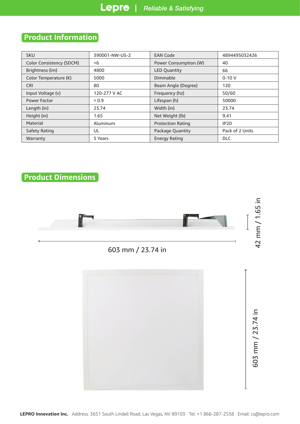# **Product Information**

| <b>SKU</b>                      | 390001-NW-US-2 | <b>EAN Code</b>          | 4894495032426   |  |
|---------------------------------|----------------|--------------------------|-----------------|--|
| <b>Color Consistency (SDCM)</b> | -6             | Power Consumption (W)    | 40              |  |
| Brightness (lm)                 | 4800           | <b>LED Quantity</b>      | 66              |  |
| Color Temperature (K)           | 5000           | Dimmable                 | $0 - 10V$       |  |
| <b>CRI</b>                      | 80             | Beam Angle (Degree)      | 120             |  |
| Input Voltage (v)               | 120-277 V AC   | Frequency (hz)           | 50/60           |  |
| Power Factor                    | > 0.9          | Lifespan (h)             | 50000           |  |
| Length (in)                     | 23.74          | Width (in)               | 23.74           |  |
| Height (in)                     | 1.65           | Net Weight (lb)          | 9.41            |  |
| Material                        | Aluminum       | <b>Protection Rating</b> | <b>IP20</b>     |  |
| Safety Rating                   | UL             | Package Quantity         | Pack of 2 Units |  |
| Warranty                        | 5 Years        | <b>Energy Rating</b>     | <b>DLC</b>      |  |

## **Product Dimensions**

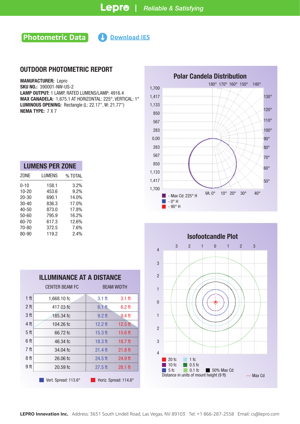## **Photometric Data**

**https://www.lepro.com/guide/ies/390001-NW-US-200001-NW-US-200001-NW-US-200001-NW-US-200001-NW-US-200001-NW-US-200001-NW-US-2.** 

#### OUTDOOR PHOTOMETRIC REPORT

MANUFACTURER: Lepro

SKU NO.: 390001-NW-US-2 LAMP OUTPUT: 1 LAMP, RATED LUMENS/LAMP: 4916.4 MAX CANADELA: 1,675.1 AT HORIZONTAL: 225°, VERTICAL: 1° LUMINOUS OPENING: Rectangle (L: 22.17", W: 21.77") NEMA TYPE: 7 X 7

| <b>LUMENS PER ZONE</b> |         |  |  |  |  |  |  |
|------------------------|---------|--|--|--|--|--|--|
| LUMENS                 | % TOTAL |  |  |  |  |  |  |
| 158.1                  | 3.2%    |  |  |  |  |  |  |
| 453.6                  | 9.2%    |  |  |  |  |  |  |
| 690.1                  | 14.0%   |  |  |  |  |  |  |
| 836.3                  | 17.0%   |  |  |  |  |  |  |
| 873.0                  | 17.8%   |  |  |  |  |  |  |
| 795.9                  | 16.2%   |  |  |  |  |  |  |
| 617.3                  | 12.6%   |  |  |  |  |  |  |
| 372.5                  | 7.6%    |  |  |  |  |  |  |
| 119.2                  | 2.4%    |  |  |  |  |  |  |
|                        |         |  |  |  |  |  |  |

| <b>ILLUMINANCE AT A DISTANCE</b>              |                       |                   |           |  |  |  |  |
|-----------------------------------------------|-----------------------|-------------------|-----------|--|--|--|--|
|                                               | <b>CENTER BEAM FC</b> | <b>BEAM WIDTH</b> |           |  |  |  |  |
| 1 <sup>ft</sup>                               | 1,668.10 fc           | $3.1$ ft          | $3.1$ ft  |  |  |  |  |
| 2 <sub>ft</sub>                               | 417.03 fc             | $6.1$ ft.         | $6.2$ ft  |  |  |  |  |
| 3 ft                                          | 185.34 fc             | $9.2$ ft          | 9.4 ft    |  |  |  |  |
| 4 ft                                          | 104.26 fc             | $12.2$ ft         | $12.5$ ft |  |  |  |  |
| 5 ft                                          | 66.72 fc              | $15.3$ ft         | $15.6$ ft |  |  |  |  |
| 6 ft                                          | 46.34 fc              | $18.3$ ft         | $18.7$ ft |  |  |  |  |
| 7 ft                                          | 34.04 fc              | $21.4$ ff         | $21.8$ ft |  |  |  |  |
| 8 ft                                          | $26.06$ fc            | $24.5$ ft         | 24.9 ft   |  |  |  |  |
| 9 ft                                          | $20.59$ fc            | $27.5$ ft         | $28.1$ ft |  |  |  |  |
| Vert. Spread: 113.6°<br>Horiz. Spread: 114.6° |                       |                   |           |  |  |  |  |